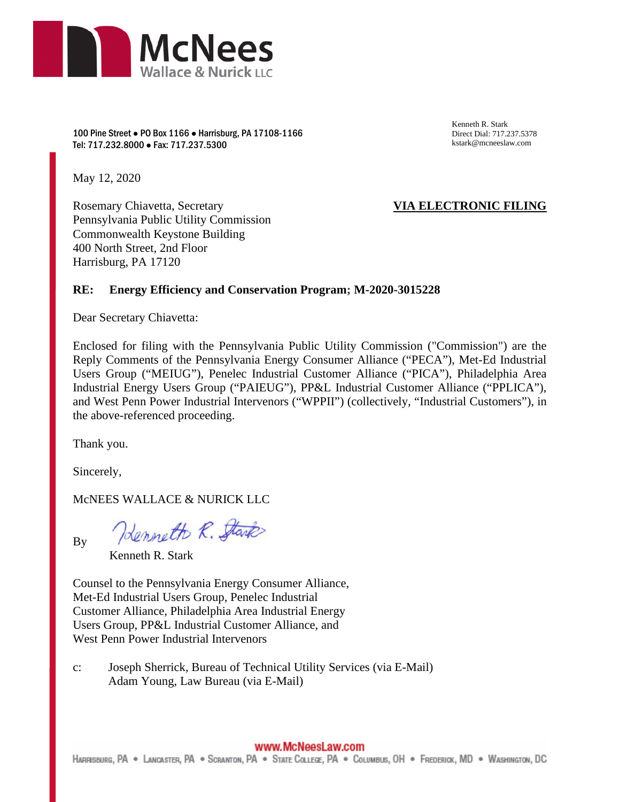

100 Pine Street ● PO Box 1166 ● Harrisburg, PA 17108-1166 Tel: 717.232.8000 ● Fax: 717.237.5300

Kenneth R. Stark Direct Dial: 717.237.5378 kstark@mcneeslaw.com

May 12, 2020

Rosemary Chiavetta, Secretary Pennsylvania Public Utility Commission Commonwealth Keystone Building 400 North Street, 2nd Floor Harrisburg, PA 17120

# **VIA ELECTRONIC FILING**

### **RE: Energy Efficiency and Conservation Program; M-2020-3015228**

Dear Secretary Chiavetta:

Enclosed for filing with the Pennsylvania Public Utility Commission ("Commission") are the Reply Comments of the Pennsylvania Energy Consumer Alliance ("PECA"), Met-Ed Industrial Users Group ("MEIUG"), Penelec Industrial Customer Alliance ("PICA"), Philadelphia Area Industrial Energy Users Group ("PAIEUG"), PP&L Industrial Customer Alliance ("PPLICA"), and West Penn Power Industrial Intervenors ("WPPII") (collectively, "Industrial Customers"), in the above-referenced proceeding.

Thank you.

Sincerely,

McNEES WALLACE & NURICK LLC

By

Henneth R. Stark

Kenneth R. Stark

Counsel to the Pennsylvania Energy Consumer Alliance, Met-Ed Industrial Users Group, Penelec Industrial Customer Alliance, Philadelphia Area Industrial Energy Users Group, PP&L Industrial Customer Alliance, and West Penn Power Industrial Intervenors

c: Joseph Sherrick, Bureau of Technical Utility Services (via E-Mail) Adam Young, Law Bureau (via E-Mail)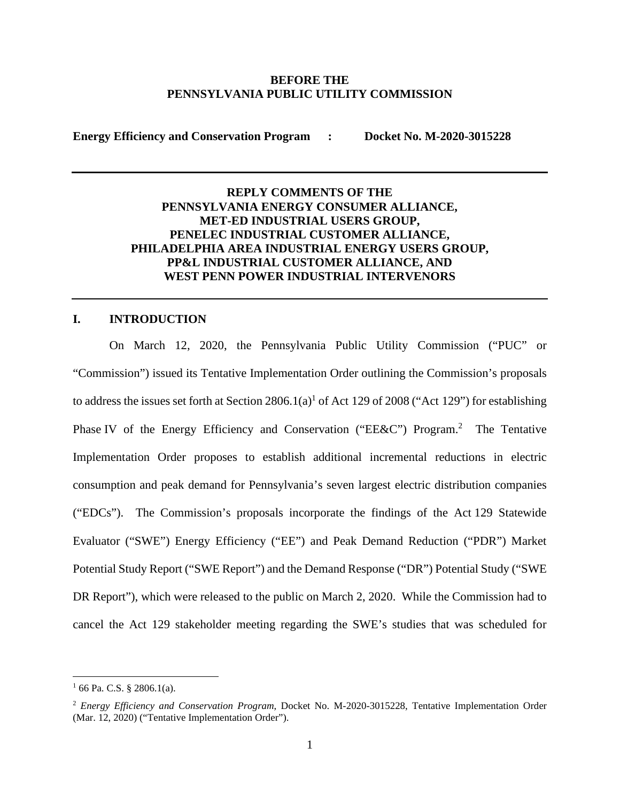#### **BEFORE THE PENNSYLVANIA PUBLIC UTILITY COMMISSION**

**Energy Efficiency and Conservation Program : Docket No. M-2020-3015228** 

# **REPLY COMMENTS OF THE PENNSYLVANIA ENERGY CONSUMER ALLIANCE, MET-ED INDUSTRIAL USERS GROUP, PENELEC INDUSTRIAL CUSTOMER ALLIANCE, PHILADELPHIA AREA INDUSTRIAL ENERGY USERS GROUP, PP&L INDUSTRIAL CUSTOMER ALLIANCE, AND WEST PENN POWER INDUSTRIAL INTERVENORS**

# **I. INTRODUCTION**

On March 12, 2020, the Pennsylvania Public Utility Commission ("PUC" or "Commission") issued its Tentative Implementation Order outlining the Commission's proposals to address the issues set forth at Section  $2806.1(a)$ <sup>1</sup> of Act 129 of 2008 ("Act 129") for establishing Phase IV of the Energy Efficiency and Conservation ("EE&C") Program.<sup>2</sup> The Tentative Implementation Order proposes to establish additional incremental reductions in electric consumption and peak demand for Pennsylvania's seven largest electric distribution companies ("EDCs"). The Commission's proposals incorporate the findings of the Act 129 Statewide Evaluator ("SWE") Energy Efficiency ("EE") and Peak Demand Reduction ("PDR") Market Potential Study Report ("SWE Report") and the Demand Response ("DR") Potential Study ("SWE DR Report"), which were released to the public on March 2, 2020. While the Commission had to cancel the Act 129 stakeholder meeting regarding the SWE's studies that was scheduled for

 $1$  66 Pa. C.S. § 2806.1(a).

<sup>2</sup> *Energy Efficiency and Conservation Program*, Docket No. M-2020-3015228, Tentative Implementation Order (Mar. 12, 2020) ("Tentative Implementation Order").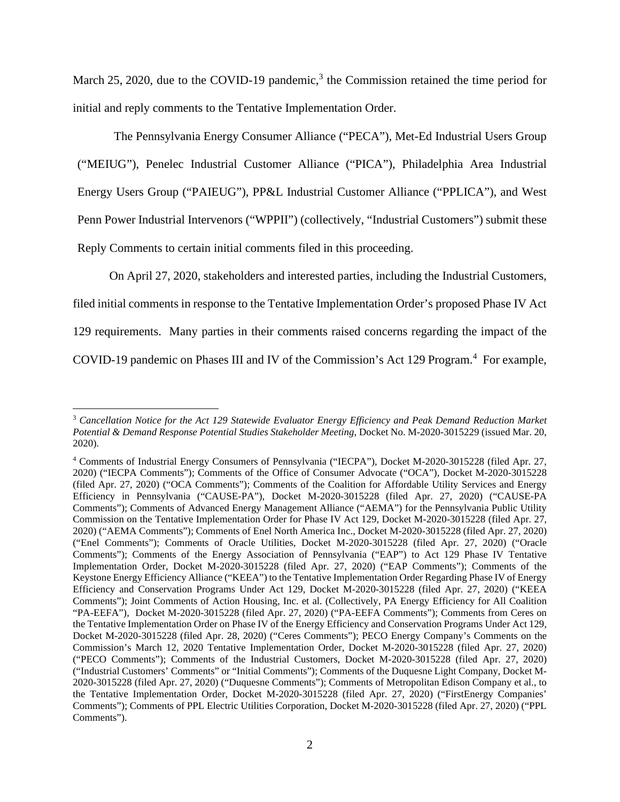March 25, 2020, due to the COVID-19 pandemic,<sup>3</sup> the Commission retained the time period for initial and reply comments to the Tentative Implementation Order.

The Pennsylvania Energy Consumer Alliance ("PECA"), Met-Ed Industrial Users Group ("MEIUG"), Penelec Industrial Customer Alliance ("PICA"), Philadelphia Area Industrial Energy Users Group ("PAIEUG"), PP&L Industrial Customer Alliance ("PPLICA"), and West Penn Power Industrial Intervenors ("WPPII") (collectively, "Industrial Customers") submit these Reply Comments to certain initial comments filed in this proceeding.

On April 27, 2020, stakeholders and interested parties, including the Industrial Customers,

filed initial comments in response to the Tentative Implementation Order's proposed Phase IV Act

129 requirements. Many parties in their comments raised concerns regarding the impact of the

COVID-19 pandemic on Phases III and IV of the Commission's Act 129 Program.<sup>4</sup> For example,

<sup>3</sup> *Cancellation Notice for the Act 129 Statewide Evaluator Energy Efficiency and Peak Demand Reduction Market Potential & Demand Response Potential Studies Stakeholder Meeting*, Docket No. M-2020-3015229 (issued Mar. 20, 2020).

<sup>4</sup> Comments of Industrial Energy Consumers of Pennsylvania ("IECPA"), Docket M-2020-3015228 (filed Apr. 27, 2020) ("IECPA Comments"); Comments of the Office of Consumer Advocate ("OCA"), Docket M-2020-3015228 (filed Apr. 27, 2020) ("OCA Comments"); Comments of the Coalition for Affordable Utility Services and Energy Efficiency in Pennsylvania ("CAUSE-PA"), Docket M-2020-3015228 (filed Apr. 27, 2020) ("CAUSE-PA Comments"); Comments of Advanced Energy Management Alliance ("AEMA") for the Pennsylvania Public Utility Commission on the Tentative Implementation Order for Phase IV Act 129, Docket M-2020-3015228 (filed Apr. 27, 2020) ("AEMA Comments"); Comments of Enel North America Inc., Docket M-2020-3015228 (filed Apr. 27, 2020) ("Enel Comments"); Comments of Oracle Utilities, Docket M-2020-3015228 (filed Apr. 27, 2020) ("Oracle Comments"); Comments of the Energy Association of Pennsylvania ("EAP") to Act 129 Phase IV Tentative Implementation Order, Docket M-2020-3015228 (filed Apr. 27, 2020) ("EAP Comments"); Comments of the Keystone Energy Efficiency Alliance ("KEEA") to the Tentative Implementation Order Regarding Phase IV of Energy Efficiency and Conservation Programs Under Act 129, Docket M-2020-3015228 (filed Apr. 27, 2020) ("KEEA Comments"); Joint Comments of Action Housing, Inc. et al. (Collectively, PA Energy Efficiency for All Coalition "PA-EEFA"), Docket M-2020-3015228 (filed Apr. 27, 2020) ("PA-EEFA Comments"); Comments from Ceres on the Tentative Implementation Order on Phase IV of the Energy Efficiency and Conservation Programs Under Act 129, Docket M-2020-3015228 (filed Apr. 28, 2020) ("Ceres Comments"); PECO Energy Company's Comments on the Commission's March 12, 2020 Tentative Implementation Order, Docket M-2020-3015228 (filed Apr. 27, 2020) ("PECO Comments"); Comments of the Industrial Customers, Docket M-2020-3015228 (filed Apr. 27, 2020) ("Industrial Customers' Comments" or "Initial Comments"); Comments of the Duquesne Light Company, Docket M-2020-3015228 (filed Apr. 27, 2020) ("Duquesne Comments"); Comments of Metropolitan Edison Company et al., to the Tentative Implementation Order, Docket M-2020-3015228 (filed Apr. 27, 2020) ("FirstEnergy Companies' Comments"); Comments of PPL Electric Utilities Corporation, Docket M-2020-3015228 (filed Apr. 27, 2020) ("PPL Comments").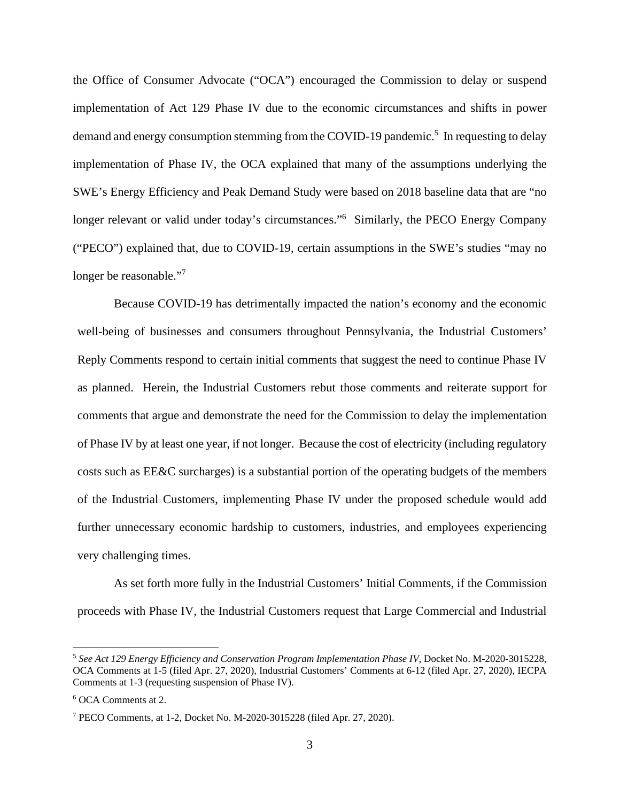the Office of Consumer Advocate ("OCA") encouraged the Commission to delay or suspend implementation of Act 129 Phase IV due to the economic circumstances and shifts in power demand and energy consumption stemming from the COVID-19 pandemic.<sup>5</sup> In requesting to delay implementation of Phase IV, the OCA explained that many of the assumptions underlying the SWE's Energy Efficiency and Peak Demand Study were based on 2018 baseline data that are "no longer relevant or valid under today's circumstances."<sup>6</sup> Similarly, the PECO Energy Company ("PECO") explained that, due to COVID-19, certain assumptions in the SWE's studies "may no longer be reasonable."<sup>7</sup>

Because COVID-19 has detrimentally impacted the nation's economy and the economic well-being of businesses and consumers throughout Pennsylvania, the Industrial Customers' Reply Comments respond to certain initial comments that suggest the need to continue Phase IV as planned. Herein, the Industrial Customers rebut those comments and reiterate support for comments that argue and demonstrate the need for the Commission to delay the implementation of Phase IV by at least one year, if not longer. Because the cost of electricity (including regulatory costs such as EE&C surcharges) is a substantial portion of the operating budgets of the members of the Industrial Customers, implementing Phase IV under the proposed schedule would add further unnecessary economic hardship to customers, industries, and employees experiencing very challenging times.

As set forth more fully in the Industrial Customers' Initial Comments, if the Commission proceeds with Phase IV, the Industrial Customers request that Large Commercial and Industrial

<sup>5</sup> *See Act 129 Energy Efficiency and Conservation Program Implementation Phase IV*, Docket No. M-2020-3015228, OCA Comments at 1-5 (filed Apr. 27, 2020), Industrial Customers' Comments at 6-12 (filed Apr. 27, 2020), IECPA Comments at 1-3 (requesting suspension of Phase IV).

<sup>6</sup> OCA Comments at 2.

<sup>7</sup> PECO Comments, at 1-2, Docket No. M-2020-3015228 (filed Apr. 27, 2020).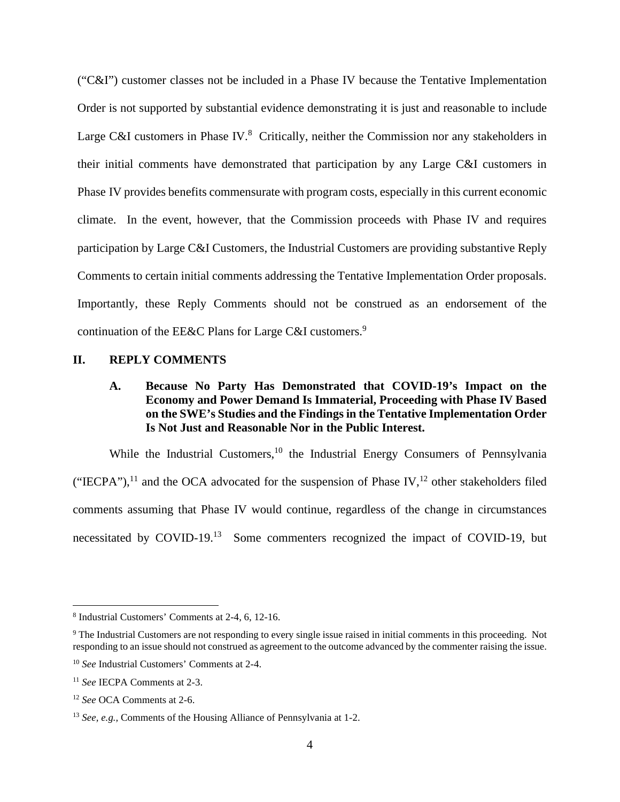("C&I") customer classes not be included in a Phase IV because the Tentative Implementation Order is not supported by substantial evidence demonstrating it is just and reasonable to include Large C&I customers in Phase IV. $8$  Critically, neither the Commission nor any stakeholders in their initial comments have demonstrated that participation by any Large C&I customers in Phase IV provides benefits commensurate with program costs, especially in this current economic climate. In the event, however, that the Commission proceeds with Phase IV and requires participation by Large C&I Customers, the Industrial Customers are providing substantive Reply Comments to certain initial comments addressing the Tentative Implementation Order proposals. Importantly, these Reply Comments should not be construed as an endorsement of the continuation of the EE&C Plans for Large C&I customers.<sup>9</sup>

### **II. REPLY COMMENTS**

# **A. Because No Party Has Demonstrated that COVID-19's Impact on the Economy and Power Demand Is Immaterial, Proceeding with Phase IV Based on the SWE's Studies and the Findings in the Tentative Implementation Order Is Not Just and Reasonable Nor in the Public Interest.**

While the Industrial Customers,<sup>10</sup> the Industrial Energy Consumers of Pennsylvania ("IECPA"),<sup>11</sup> and the OCA advocated for the suspension of Phase IV,<sup>12</sup> other stakeholders filed comments assuming that Phase IV would continue, regardless of the change in circumstances necessitated by COVID-19.<sup>13</sup> Some commenters recognized the impact of COVID-19, but

<sup>8</sup> Industrial Customers' Comments at 2-4, 6, 12-16.

<sup>&</sup>lt;sup>9</sup> The Industrial Customers are not responding to every single issue raised in initial comments in this proceeding. Not responding to an issue should not construed as agreement to the outcome advanced by the commenter raising the issue.

<sup>10</sup> *See* Industrial Customers' Comments at 2-4.

<sup>11</sup> *See* IECPA Comments at 2-3.

<sup>12</sup> *See* OCA Comments at 2-6.

<sup>13</sup> *See, e.g.,* Comments of the Housing Alliance of Pennsylvania at 1-2.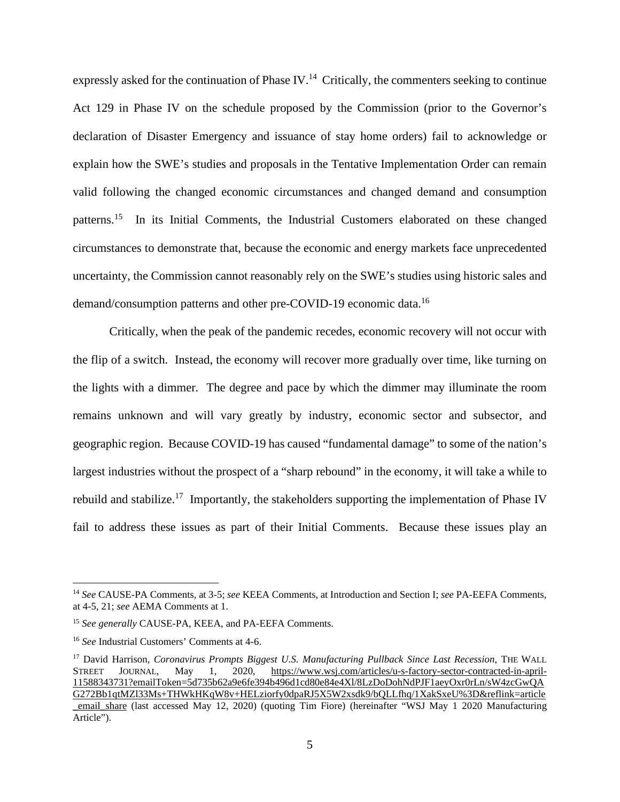expressly asked for the continuation of Phase IV.<sup>14</sup> Critically, the commenters seeking to continue Act 129 in Phase IV on the schedule proposed by the Commission (prior to the Governor's declaration of Disaster Emergency and issuance of stay home orders) fail to acknowledge or explain how the SWE's studies and proposals in the Tentative Implementation Order can remain valid following the changed economic circumstances and changed demand and consumption patterns.<sup>15</sup> In its Initial Comments, the Industrial Customers elaborated on these changed circumstances to demonstrate that, because the economic and energy markets face unprecedented uncertainty, the Commission cannot reasonably rely on the SWE's studies using historic sales and demand/consumption patterns and other pre-COVID-19 economic data.<sup>16</sup>

Critically, when the peak of the pandemic recedes, economic recovery will not occur with the flip of a switch. Instead, the economy will recover more gradually over time, like turning on the lights with a dimmer. The degree and pace by which the dimmer may illuminate the room remains unknown and will vary greatly by industry, economic sector and subsector, and geographic region. Because COVID-19 has caused "fundamental damage" to some of the nation's largest industries without the prospect of a "sharp rebound" in the economy, it will take a while to rebuild and stabilize.<sup>17</sup> Importantly, the stakeholders supporting the implementation of Phase IV fail to address these issues as part of their Initial Comments. Because these issues play an

<sup>14</sup> *See* CAUSE-PA Comments, at 3-5; *see* KEEA Comments, at Introduction and Section I; *see* PA-EEFA Comments, at 4-5, 21; *see* AEMA Comments at 1.

<sup>&</sup>lt;sup>15</sup> See generally CAUSE-PA, KEEA, and PA-EEFA Comments.

<sup>16</sup> *See* Industrial Customers' Comments at 4-6.

<sup>17</sup> David Harrison, *Coronavirus Prompts Biggest U.S. Manufacturing Pullback Since Last Recession*, THE WALL STREET JOURNAL, May 1, 2020, https://www.wsj.com/articles/u-s-factory-sector-contracted-in-april-11588343731?emailToken=5d735b62a9e6fe394b496d1cd80e84e4Xl/8LzDoDohNdPJF1aeyOxr0rLn/sW4zcGwQA G272Bb1qtMZl33Ms+THWkHKqW8v+HELziorfy0dpaRJ5X5W2xsdk9/bQLLfhq/1XakSxeU%3D&reflink=article email share (last accessed May 12, 2020) (quoting Tim Fiore) (hereinafter "WSJ May 1 2020 Manufacturing Article").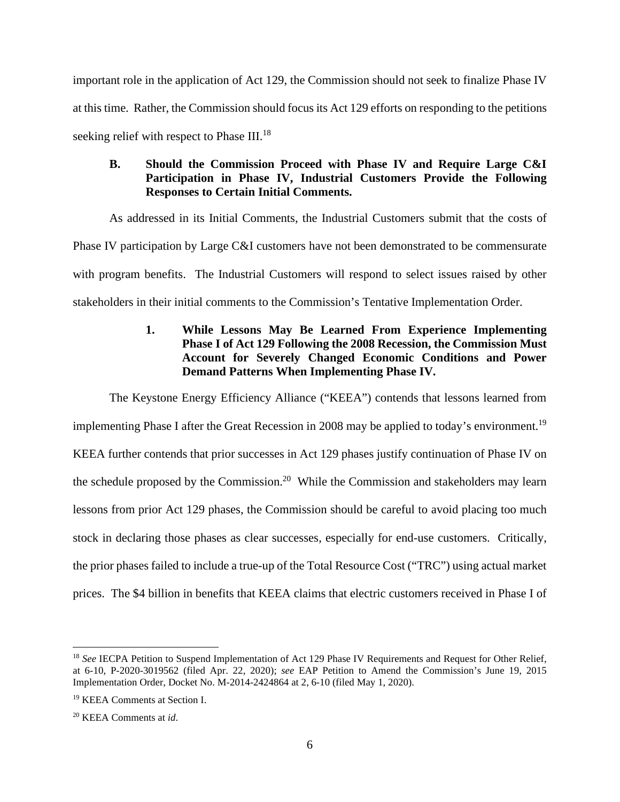important role in the application of Act 129, the Commission should not seek to finalize Phase IV at this time. Rather, the Commission should focus its Act 129 efforts on responding to the petitions seeking relief with respect to Phase III.<sup>18</sup>

# **B. Should the Commission Proceed with Phase IV and Require Large C&I Participation in Phase IV, Industrial Customers Provide the Following Responses to Certain Initial Comments.**

As addressed in its Initial Comments, the Industrial Customers submit that the costs of Phase IV participation by Large C&I customers have not been demonstrated to be commensurate with program benefits. The Industrial Customers will respond to select issues raised by other stakeholders in their initial comments to the Commission's Tentative Implementation Order.

# **1. While Lessons May Be Learned From Experience Implementing Phase I of Act 129 Following the 2008 Recession, the Commission Must Account for Severely Changed Economic Conditions and Power Demand Patterns When Implementing Phase IV.**

The Keystone Energy Efficiency Alliance ("KEEA") contends that lessons learned from implementing Phase I after the Great Recession in 2008 may be applied to today's environment.<sup>19</sup> KEEA further contends that prior successes in Act 129 phases justify continuation of Phase IV on the schedule proposed by the Commission.<sup>20</sup> While the Commission and stakeholders may learn lessons from prior Act 129 phases, the Commission should be careful to avoid placing too much stock in declaring those phases as clear successes, especially for end-use customers. Critically, the prior phases failed to include a true-up of the Total Resource Cost ("TRC") using actual market prices. The \$4 billion in benefits that KEEA claims that electric customers received in Phase I of

<sup>&</sup>lt;sup>18</sup> *See* IECPA Petition to Suspend Implementation of Act 129 Phase IV Requirements and Request for Other Relief, at 6-10, P-2020-3019562 (filed Apr. 22, 2020); *see* EAP Petition to Amend the Commission's June 19, 2015 Implementation Order, Docket No. M-2014-2424864 at 2, 6-10 (filed May 1, 2020).

<sup>19</sup> KEEA Comments at Section I.

<sup>20</sup> KEEA Comments at *id*.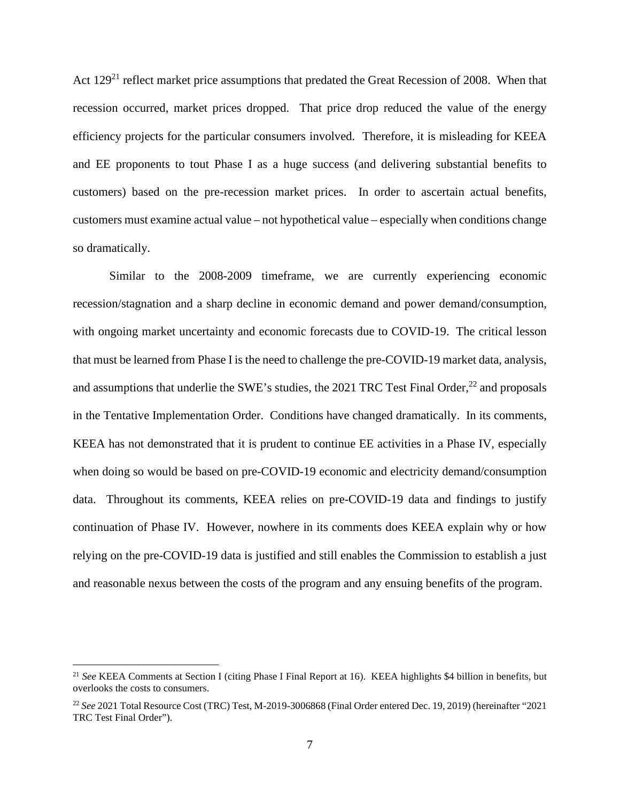Act 129<sup>21</sup> reflect market price assumptions that predated the Great Recession of 2008. When that recession occurred, market prices dropped. That price drop reduced the value of the energy efficiency projects for the particular consumers involved. Therefore, it is misleading for KEEA and EE proponents to tout Phase I as a huge success (and delivering substantial benefits to customers) based on the pre-recession market prices. In order to ascertain actual benefits, customers must examine actual value – not hypothetical value – especially when conditions change so dramatically.

Similar to the 2008-2009 timeframe, we are currently experiencing economic recession/stagnation and a sharp decline in economic demand and power demand/consumption, with ongoing market uncertainty and economic forecasts due to COVID-19. The critical lesson that must be learned from Phase I is the need to challenge the pre-COVID-19 market data, analysis, and assumptions that underlie the SWE's studies, the 2021 TRC Test Final Order, $^{22}$  and proposals in the Tentative Implementation Order. Conditions have changed dramatically. In its comments, KEEA has not demonstrated that it is prudent to continue EE activities in a Phase IV, especially when doing so would be based on pre-COVID-19 economic and electricity demand/consumption data. Throughout its comments, KEEA relies on pre-COVID-19 data and findings to justify continuation of Phase IV. However, nowhere in its comments does KEEA explain why or how relying on the pre-COVID-19 data is justified and still enables the Commission to establish a just and reasonable nexus between the costs of the program and any ensuing benefits of the program.

<sup>21</sup> *See* KEEA Comments at Section I (citing Phase I Final Report at 16). KEEA highlights \$4 billion in benefits, but overlooks the costs to consumers.

<sup>22</sup> *See* 2021 Total Resource Cost (TRC) Test, M-2019-3006868 (Final Order entered Dec. 19, 2019) (hereinafter "2021 TRC Test Final Order").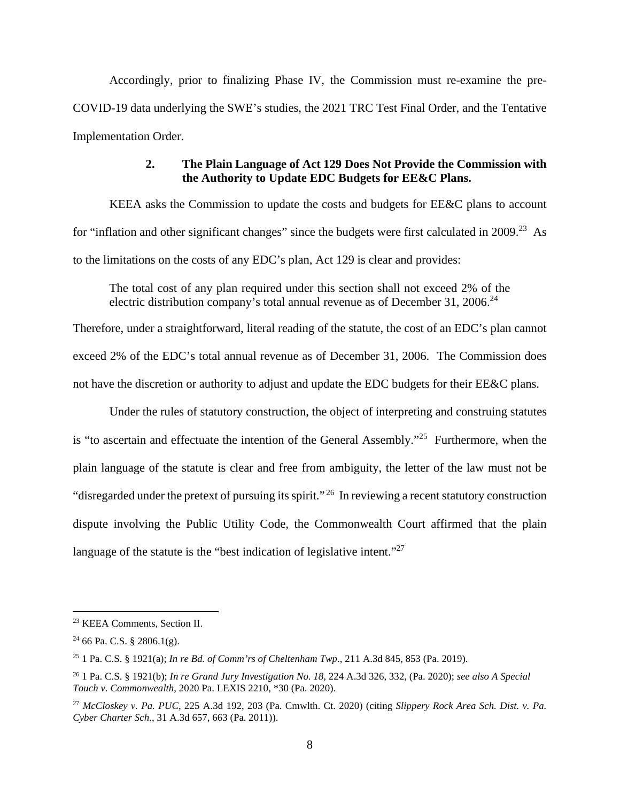Accordingly, prior to finalizing Phase IV, the Commission must re-examine the pre-COVID-19 data underlying the SWE's studies, the 2021 TRC Test Final Order, and the Tentative Implementation Order.

### **2. The Plain Language of Act 129 Does Not Provide the Commission with the Authority to Update EDC Budgets for EE&C Plans.**

KEEA asks the Commission to update the costs and budgets for EE&C plans to account for "inflation and other significant changes" since the budgets were first calculated in 2009.<sup>23</sup> As to the limitations on the costs of any EDC's plan, Act 129 is clear and provides:

The total cost of any plan required under this section shall not exceed 2% of the electric distribution company's total annual revenue as of December 31, 2006.<sup>24</sup>

Therefore, under a straightforward, literal reading of the statute, the cost of an EDC's plan cannot exceed 2% of the EDC's total annual revenue as of December 31, 2006. The Commission does not have the discretion or authority to adjust and update the EDC budgets for their EE&C plans.

Under the rules of statutory construction, the object of interpreting and construing statutes is "to ascertain and effectuate the intention of the General Assembly."<sup>25</sup> Furthermore, when the plain language of the statute is clear and free from ambiguity, the letter of the law must not be "disregarded under the pretext of pursuing its spirit."<sup>26</sup> In reviewing a recent statutory construction dispute involving the Public Utility Code, the Commonwealth Court affirmed that the plain language of the statute is the "best indication of legislative intent."<sup>27</sup>

<sup>23</sup> KEEA Comments, Section II.

 $24$  66 Pa. C.S. § 2806.1(g).

<sup>25</sup> 1 Pa. C.S. § 1921(a); *In re Bd. of Comm'rs of Cheltenham Twp*., 211 A.3d 845, 853 (Pa. 2019).

<sup>26</sup> 1 Pa. C.S. § 1921(b); *In re Grand Jury Investigation No. 18*, 224 A.3d 326, 332, (Pa. 2020); *see also A Special Touch v. Commonwealth*, 2020 Pa. LEXIS 2210, \*30 (Pa. 2020).

<sup>27</sup> *McCloskey v. Pa. PUC*, 225 A.3d 192, 203 (Pa. Cmwlth. Ct. 2020) (citing *Slippery Rock Area Sch. Dist. v. Pa. Cyber Charter Sch.*, 31 A.3d 657, 663 (Pa. 2011)).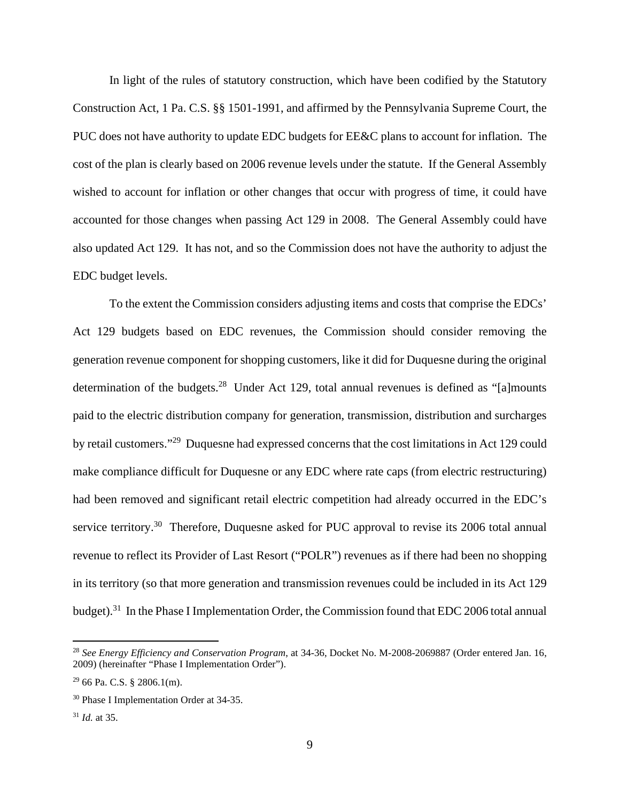In light of the rules of statutory construction, which have been codified by the Statutory Construction Act, 1 Pa. C.S. §§ 1501-1991, and affirmed by the Pennsylvania Supreme Court, the PUC does not have authority to update EDC budgets for EE&C plans to account for inflation. The cost of the plan is clearly based on 2006 revenue levels under the statute. If the General Assembly wished to account for inflation or other changes that occur with progress of time, it could have accounted for those changes when passing Act 129 in 2008. The General Assembly could have also updated Act 129. It has not, and so the Commission does not have the authority to adjust the EDC budget levels.

To the extent the Commission considers adjusting items and costs that comprise the EDCs' Act 129 budgets based on EDC revenues, the Commission should consider removing the generation revenue component for shopping customers, like it did for Duquesne during the original determination of the budgets.<sup>28</sup> Under Act 129, total annual revenues is defined as "[a]mounts paid to the electric distribution company for generation, transmission, distribution and surcharges by retail customers."<sup>29</sup> Duquesne had expressed concerns that the cost limitations in Act 129 could make compliance difficult for Duquesne or any EDC where rate caps (from electric restructuring) had been removed and significant retail electric competition had already occurred in the EDC's service territory.<sup>30</sup> Therefore, Duquesne asked for PUC approval to revise its 2006 total annual revenue to reflect its Provider of Last Resort ("POLR") revenues as if there had been no shopping in its territory (so that more generation and transmission revenues could be included in its Act 129 budget).<sup>31</sup> In the Phase I Implementation Order, the Commission found that EDC 2006 total annual

<sup>28</sup> *See Energy Efficiency and Conservation Program*, at 34-36, Docket No. M-2008-2069887 (Order entered Jan. 16, 2009) (hereinafter "Phase I Implementation Order").

 $29$  66 Pa. C.S. § 2806.1(m).

<sup>30</sup> Phase I Implementation Order at 34-35.

<sup>31</sup> *Id.* at 35.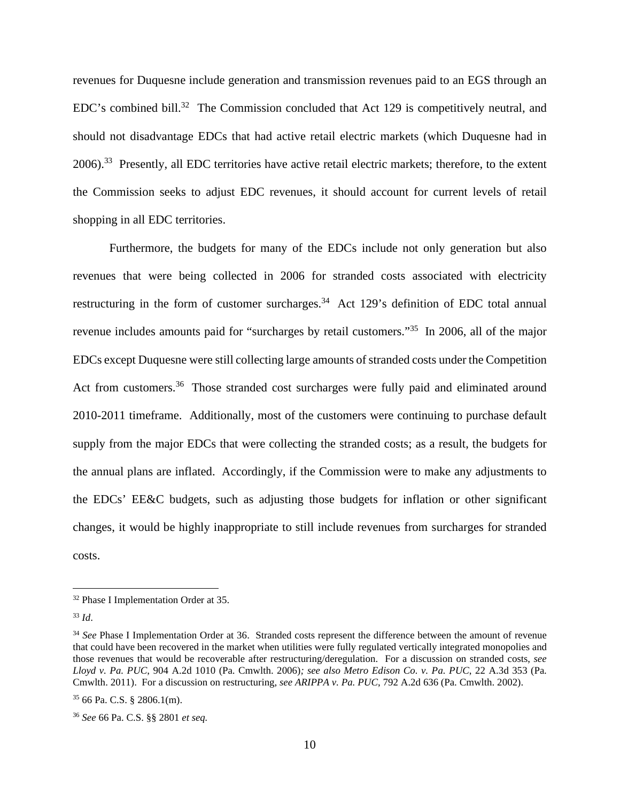revenues for Duquesne include generation and transmission revenues paid to an EGS through an EDC's combined bill.<sup>32</sup> The Commission concluded that Act 129 is competitively neutral, and should not disadvantage EDCs that had active retail electric markets (which Duquesne had in 2006).<sup>33</sup> Presently, all EDC territories have active retail electric markets; therefore, to the extent the Commission seeks to adjust EDC revenues, it should account for current levels of retail shopping in all EDC territories.

Furthermore, the budgets for many of the EDCs include not only generation but also revenues that were being collected in 2006 for stranded costs associated with electricity restructuring in the form of customer surcharges.<sup>34</sup> Act 129's definition of EDC total annual revenue includes amounts paid for "surcharges by retail customers."<sup>35</sup> In 2006, all of the major EDCs except Duquesne were still collecting large amounts of stranded costs under the Competition Act from customers.<sup>36</sup> Those stranded cost surcharges were fully paid and eliminated around 2010-2011 timeframe. Additionally, most of the customers were continuing to purchase default supply from the major EDCs that were collecting the stranded costs; as a result, the budgets for the annual plans are inflated. Accordingly, if the Commission were to make any adjustments to the EDCs' EE&C budgets, such as adjusting those budgets for inflation or other significant changes, it would be highly inappropriate to still include revenues from surcharges for stranded costs.

<sup>32</sup> Phase I Implementation Order at 35.

<sup>33</sup> *Id*.

<sup>&</sup>lt;sup>34</sup> See Phase I Implementation Order at 36. Stranded costs represent the difference between the amount of revenue that could have been recovered in the market when utilities were fully regulated vertically integrated monopolies and those revenues that would be recoverable after restructuring/deregulation. For a discussion on stranded costs, *see Lloyd v. Pa. PUC*, 904 A.2d 1010 (Pa. Cmwlth. 2006)*; see also Metro Edison Co. v. Pa. PUC*, 22 A.3d 353 (Pa. Cmwlth. 2011). For a discussion on restructuring, *see ARIPPA v. Pa. PUC*, 792 A.2d 636 (Pa. Cmwlth. 2002).

 $35$  66 Pa. C.S. § 2806.1(m).

<sup>36</sup> *See* 66 Pa. C.S. §§ 2801 *et seq.*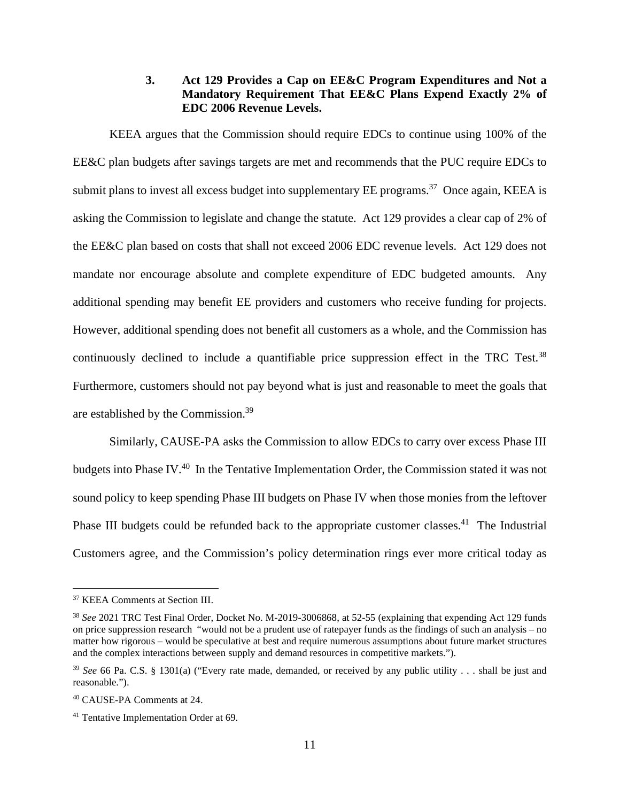### **3. Act 129 Provides a Cap on EE&C Program Expenditures and Not a Mandatory Requirement That EE&C Plans Expend Exactly 2% of EDC 2006 Revenue Levels.**

KEEA argues that the Commission should require EDCs to continue using 100% of the EE&C plan budgets after savings targets are met and recommends that the PUC require EDCs to submit plans to invest all excess budget into supplementary EE programs.<sup>37</sup> Once again, KEEA is asking the Commission to legislate and change the statute. Act 129 provides a clear cap of 2% of the EE&C plan based on costs that shall not exceed 2006 EDC revenue levels. Act 129 does not mandate nor encourage absolute and complete expenditure of EDC budgeted amounts. Any additional spending may benefit EE providers and customers who receive funding for projects. However, additional spending does not benefit all customers as a whole, and the Commission has continuously declined to include a quantifiable price suppression effect in the TRC Test.<sup>38</sup> Furthermore, customers should not pay beyond what is just and reasonable to meet the goals that are established by the Commission.<sup>39</sup>

Similarly, CAUSE-PA asks the Commission to allow EDCs to carry over excess Phase III budgets into Phase IV.<sup>40</sup> In the Tentative Implementation Order, the Commission stated it was not sound policy to keep spending Phase III budgets on Phase IV when those monies from the leftover Phase III budgets could be refunded back to the appropriate customer classes.<sup>41</sup> The Industrial Customers agree, and the Commission's policy determination rings ever more critical today as

<sup>37</sup> KEEA Comments at Section III.

<sup>38</sup> *See* 2021 TRC Test Final Order, Docket No. M-2019-3006868, at 52-55 (explaining that expending Act 129 funds on price suppression research "would not be a prudent use of ratepayer funds as the findings of such an analysis – no matter how rigorous – would be speculative at best and require numerous assumptions about future market structures and the complex interactions between supply and demand resources in competitive markets.").

<sup>39</sup> *See* 66 Pa. C.S. § 1301(a) ("Every rate made, demanded, or received by any public utility . . . shall be just and reasonable.").

<sup>40</sup> CAUSE-PA Comments at 24.

<sup>41</sup> Tentative Implementation Order at 69.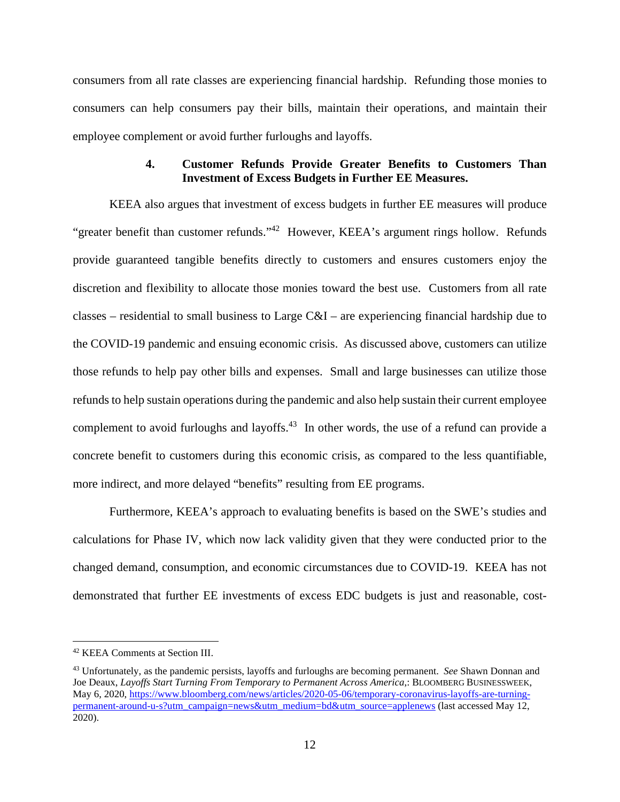consumers from all rate classes are experiencing financial hardship. Refunding those monies to consumers can help consumers pay their bills, maintain their operations, and maintain their employee complement or avoid further furloughs and layoffs.

### **4. Customer Refunds Provide Greater Benefits to Customers Than Investment of Excess Budgets in Further EE Measures.**

KEEA also argues that investment of excess budgets in further EE measures will produce "greater benefit than customer refunds."<sup>42</sup> However, KEEA's argument rings hollow. Refunds provide guaranteed tangible benefits directly to customers and ensures customers enjoy the discretion and flexibility to allocate those monies toward the best use. Customers from all rate classes – residential to small business to Large  $C&I$  – are experiencing financial hardship due to the COVID-19 pandemic and ensuing economic crisis. As discussed above, customers can utilize those refunds to help pay other bills and expenses. Small and large businesses can utilize those refunds to help sustain operations during the pandemic and also help sustain their current employee complement to avoid furloughs and layoffs.<sup>43</sup> In other words, the use of a refund can provide a concrete benefit to customers during this economic crisis, as compared to the less quantifiable, more indirect, and more delayed "benefits" resulting from EE programs.

Furthermore, KEEA's approach to evaluating benefits is based on the SWE's studies and calculations for Phase IV, which now lack validity given that they were conducted prior to the changed demand, consumption, and economic circumstances due to COVID-19. KEEA has not demonstrated that further EE investments of excess EDC budgets is just and reasonable, cost-

<sup>42</sup> KEEA Comments at Section III.

<sup>43</sup> Unfortunately, as the pandemic persists, layoffs and furloughs are becoming permanent. *See* Shawn Donnan and Joe Deaux, *Layoffs Start Turning From Temporary to Permanent Across America*,: BLOOMBERG BUSINESSWEEK, May 6, 2020, https://www.bloomberg.com/news/articles/2020-05-06/temporary-coronavirus-layoffs-are-turningpermanent-around-u-s?utm\_campaign=news&utm\_medium=bd&utm\_source=applenews (last accessed May 12, 2020).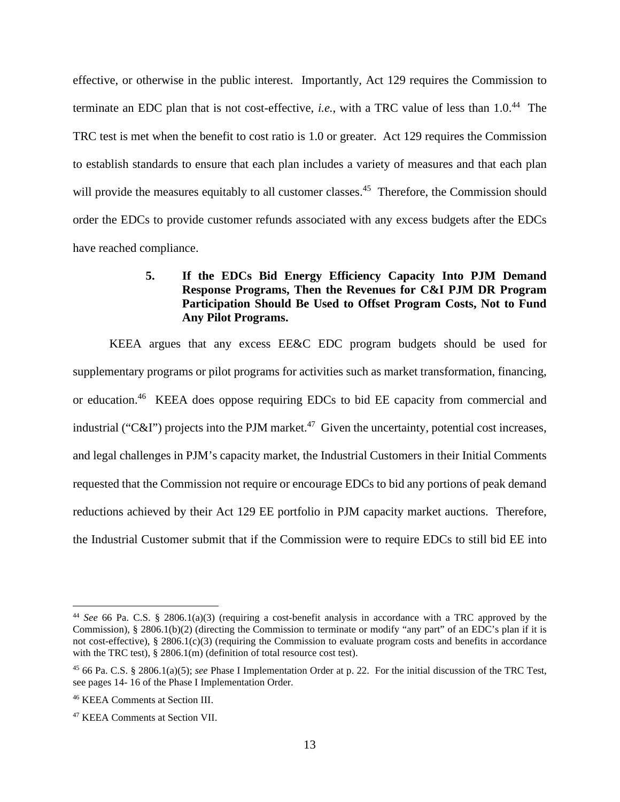effective, or otherwise in the public interest. Importantly, Act 129 requires the Commission to terminate an EDC plan that is not cost-effective, *i.e.*, with a TRC value of less than 1.0.<sup>44</sup> The TRC test is met when the benefit to cost ratio is 1.0 or greater. Act 129 requires the Commission to establish standards to ensure that each plan includes a variety of measures and that each plan will provide the measures equitably to all customer classes.<sup>45</sup> Therefore, the Commission should order the EDCs to provide customer refunds associated with any excess budgets after the EDCs have reached compliance.

# **5. If the EDCs Bid Energy Efficiency Capacity Into PJM Demand Response Programs, Then the Revenues for C&I PJM DR Program Participation Should Be Used to Offset Program Costs, Not to Fund Any Pilot Programs.**

KEEA argues that any excess EE&C EDC program budgets should be used for supplementary programs or pilot programs for activities such as market transformation, financing, or education.<sup>46</sup> KEEA does oppose requiring EDCs to bid EE capacity from commercial and industrial ("C&I") projects into the PJM market.<sup>47</sup> Given the uncertainty, potential cost increases, and legal challenges in PJM's capacity market, the Industrial Customers in their Initial Comments requested that the Commission not require or encourage EDCs to bid any portions of peak demand reductions achieved by their Act 129 EE portfolio in PJM capacity market auctions. Therefore, the Industrial Customer submit that if the Commission were to require EDCs to still bid EE into

<sup>44</sup> *See* 66 Pa. C.S. § 2806.1(a)(3) (requiring a cost-benefit analysis in accordance with a TRC approved by the Commission), § 2806.1(b)(2) (directing the Commission to terminate or modify "any part" of an EDC's plan if it is not cost-effective), § 2806.1(c)(3) (requiring the Commission to evaluate program costs and benefits in accordance with the TRC test), § 2806.1(m) (definition of total resource cost test).

<sup>45</sup> 66 Pa. C.S. § 2806.1(a)(5); *see* Phase I Implementation Order at p. 22. For the initial discussion of the TRC Test, see pages 14- 16 of the Phase I Implementation Order.

<sup>46</sup> KEEA Comments at Section III.

<sup>47</sup> KEEA Comments at Section VII.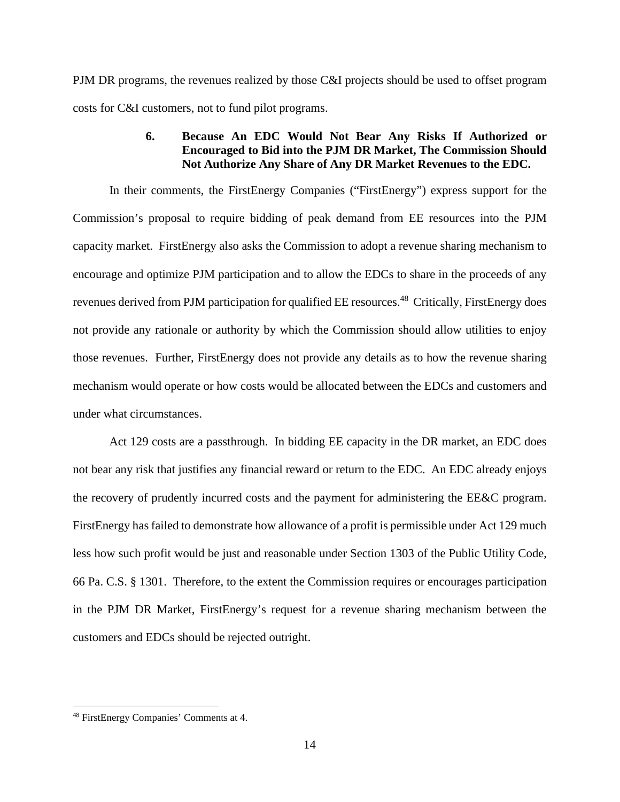PJM DR programs, the revenues realized by those C&I projects should be used to offset program costs for C&I customers, not to fund pilot programs.

# **6. Because An EDC Would Not Bear Any Risks If Authorized or Encouraged to Bid into the PJM DR Market, The Commission Should Not Authorize Any Share of Any DR Market Revenues to the EDC.**

In their comments, the FirstEnergy Companies ("FirstEnergy") express support for the Commission's proposal to require bidding of peak demand from EE resources into the PJM capacity market. FirstEnergy also asks the Commission to adopt a revenue sharing mechanism to encourage and optimize PJM participation and to allow the EDCs to share in the proceeds of any revenues derived from PJM participation for qualified EE resources.<sup>48</sup> Critically, FirstEnergy does not provide any rationale or authority by which the Commission should allow utilities to enjoy those revenues. Further, FirstEnergy does not provide any details as to how the revenue sharing mechanism would operate or how costs would be allocated between the EDCs and customers and under what circumstances.

Act 129 costs are a passthrough. In bidding EE capacity in the DR market, an EDC does not bear any risk that justifies any financial reward or return to the EDC. An EDC already enjoys the recovery of prudently incurred costs and the payment for administering the EE&C program. FirstEnergy has failed to demonstrate how allowance of a profit is permissible under Act 129 much less how such profit would be just and reasonable under Section 1303 of the Public Utility Code, 66 Pa. C.S. § 1301. Therefore, to the extent the Commission requires or encourages participation in the PJM DR Market, FirstEnergy's request for a revenue sharing mechanism between the customers and EDCs should be rejected outright.

<sup>48</sup> FirstEnergy Companies' Comments at 4.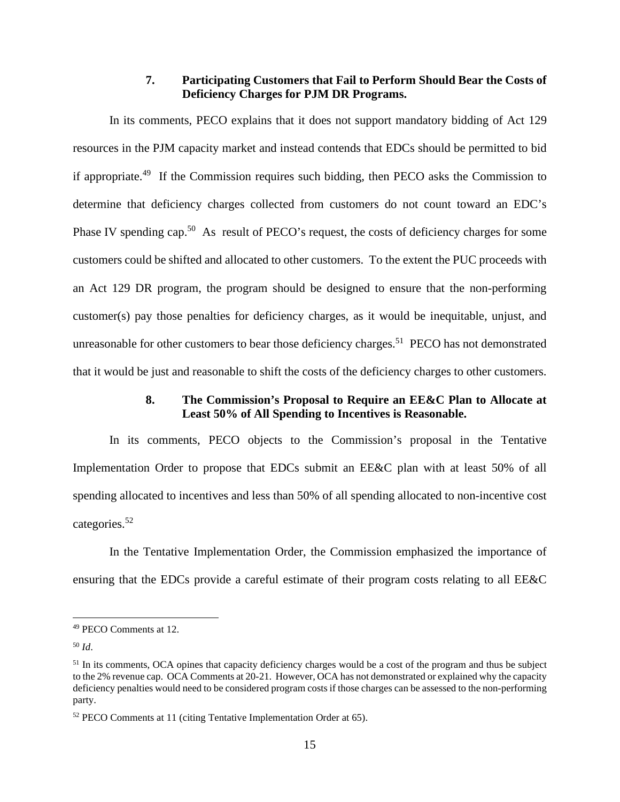### **7. Participating Customers that Fail to Perform Should Bear the Costs of Deficiency Charges for PJM DR Programs.**

In its comments, PECO explains that it does not support mandatory bidding of Act 129 resources in the PJM capacity market and instead contends that EDCs should be permitted to bid if appropriate.<sup>49</sup> If the Commission requires such bidding, then PECO asks the Commission to determine that deficiency charges collected from customers do not count toward an EDC's Phase IV spending cap.<sup>50</sup> As result of PECO's request, the costs of deficiency charges for some customers could be shifted and allocated to other customers. To the extent the PUC proceeds with an Act 129 DR program, the program should be designed to ensure that the non-performing customer(s) pay those penalties for deficiency charges, as it would be inequitable, unjust, and unreasonable for other customers to bear those deficiency charges.<sup>51</sup> PECO has not demonstrated that it would be just and reasonable to shift the costs of the deficiency charges to other customers.

### **8. The Commission's Proposal to Require an EE&C Plan to Allocate at Least 50% of All Spending to Incentives is Reasonable.**

In its comments, PECO objects to the Commission's proposal in the Tentative Implementation Order to propose that EDCs submit an EE&C plan with at least 50% of all spending allocated to incentives and less than 50% of all spending allocated to non-incentive cost categories.<sup>52</sup>

In the Tentative Implementation Order, the Commission emphasized the importance of ensuring that the EDCs provide a careful estimate of their program costs relating to all EE&C

<sup>50</sup> *Id*.

<sup>49</sup> PECO Comments at 12.

<sup>&</sup>lt;sup>51</sup> In its comments, OCA opines that capacity deficiency charges would be a cost of the program and thus be subject to the 2% revenue cap. OCA Comments at 20-21. However, OCA has not demonstrated or explained why the capacity deficiency penalties would need to be considered program costs if those charges can be assessed to the non-performing party.

<sup>52</sup> PECO Comments at 11 (citing Tentative Implementation Order at 65).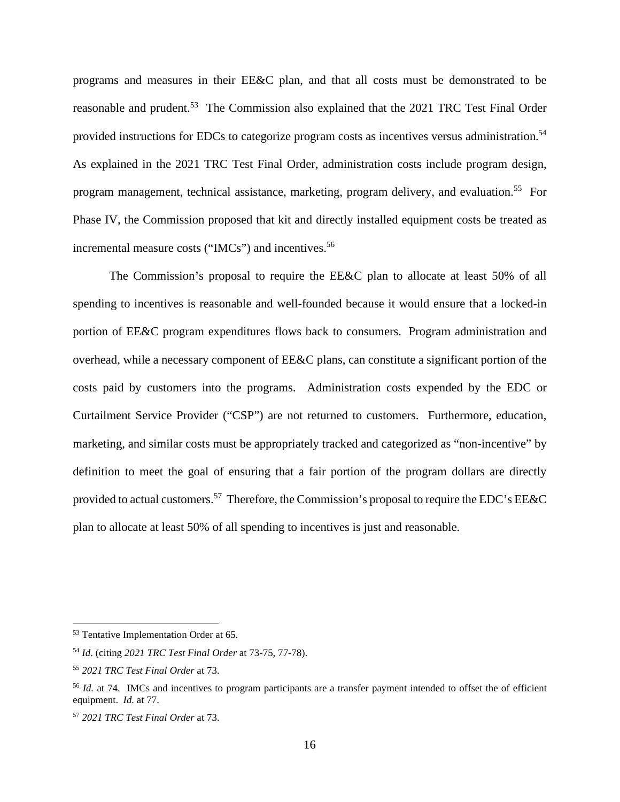programs and measures in their EE&C plan, and that all costs must be demonstrated to be reasonable and prudent.<sup>53</sup> The Commission also explained that the 2021 TRC Test Final Order provided instructions for EDCs to categorize program costs as incentives versus administration.<sup>54</sup> As explained in the 2021 TRC Test Final Order, administration costs include program design, program management, technical assistance, marketing, program delivery, and evaluation.<sup>55</sup> For Phase IV, the Commission proposed that kit and directly installed equipment costs be treated as incremental measure costs ("IMCs") and incentives.<sup>56</sup>

The Commission's proposal to require the EE&C plan to allocate at least 50% of all spending to incentives is reasonable and well-founded because it would ensure that a locked-in portion of EE&C program expenditures flows back to consumers. Program administration and overhead, while a necessary component of EE&C plans, can constitute a significant portion of the costs paid by customers into the programs. Administration costs expended by the EDC or Curtailment Service Provider ("CSP") are not returned to customers. Furthermore, education, marketing, and similar costs must be appropriately tracked and categorized as "non-incentive" by definition to meet the goal of ensuring that a fair portion of the program dollars are directly provided to actual customers.<sup>57</sup> Therefore, the Commission's proposal to require the EDC's EE&C plan to allocate at least 50% of all spending to incentives is just and reasonable.

<sup>53</sup> Tentative Implementation Order at 65.

<sup>54</sup> *Id*. (citing *2021 TRC Test Final Order* at 73-75, 77-78).

<sup>55</sup> *2021 TRC Test Final Order* at 73.

<sup>&</sup>lt;sup>56</sup> *Id.* at 74. IMCs and incentives to program participants are a transfer payment intended to offset the of efficient equipment. *Id.* at 77.

<sup>57</sup> *2021 TRC Test Final Order* at 73.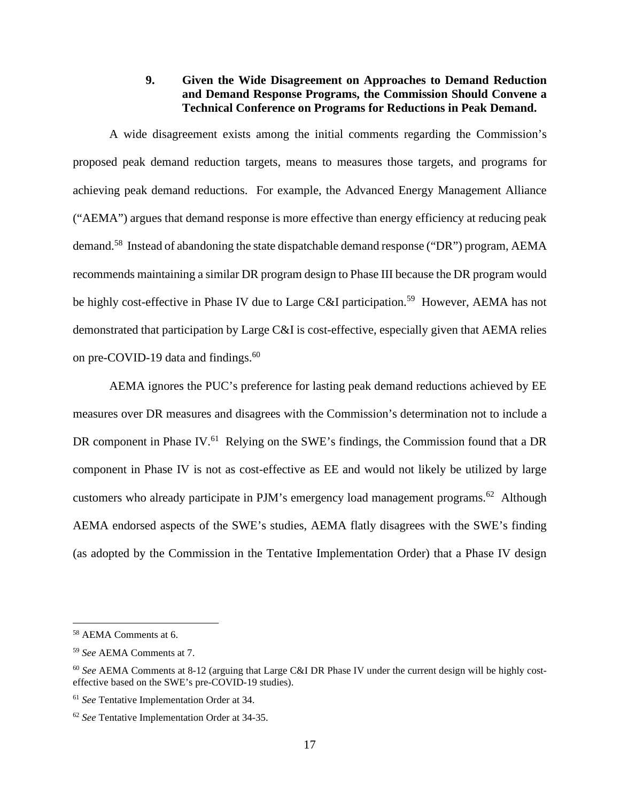# **9. Given the Wide Disagreement on Approaches to Demand Reduction and Demand Response Programs, the Commission Should Convene a Technical Conference on Programs for Reductions in Peak Demand.**

A wide disagreement exists among the initial comments regarding the Commission's proposed peak demand reduction targets, means to measures those targets, and programs for achieving peak demand reductions. For example, the Advanced Energy Management Alliance ("AEMA") argues that demand response is more effective than energy efficiency at reducing peak demand.<sup>58</sup> Instead of abandoning the state dispatchable demand response ("DR") program, AEMA recommends maintaining a similar DR program design to Phase III because the DR program would be highly cost-effective in Phase IV due to Large C&I participation.<sup>59</sup> However, AEMA has not demonstrated that participation by Large C&I is cost-effective, especially given that AEMA relies on pre-COVID-19 data and findings.<sup>60</sup>

AEMA ignores the PUC's preference for lasting peak demand reductions achieved by EE measures over DR measures and disagrees with the Commission's determination not to include a DR component in Phase IV.<sup>61</sup> Relying on the SWE's findings, the Commission found that a DR component in Phase IV is not as cost-effective as EE and would not likely be utilized by large customers who already participate in PJM's emergency load management programs.<sup>62</sup> Although AEMA endorsed aspects of the SWE's studies, AEMA flatly disagrees with the SWE's finding (as adopted by the Commission in the Tentative Implementation Order) that a Phase IV design

<sup>58</sup> AEMA Comments at 6.

<sup>59</sup> *See* AEMA Comments at 7.

<sup>60</sup> *See* AEMA Comments at 8-12 (arguing that Large C&I DR Phase IV under the current design will be highly costeffective based on the SWE's pre-COVID-19 studies).

<sup>61</sup> *See* Tentative Implementation Order at 34.

<sup>62</sup> *See* Tentative Implementation Order at 34-35.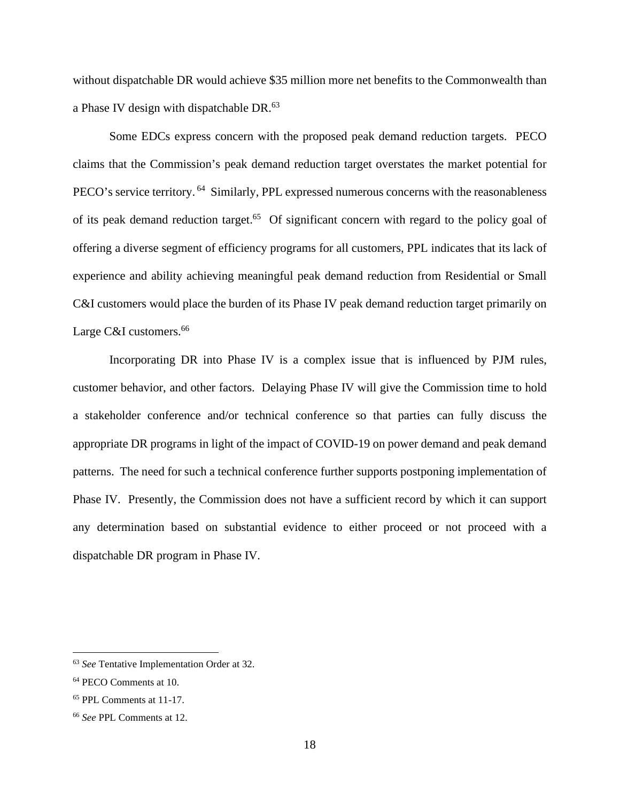without dispatchable DR would achieve \$35 million more net benefits to the Commonwealth than a Phase IV design with dispatchable DR.<sup>63</sup>

Some EDCs express concern with the proposed peak demand reduction targets. PECO claims that the Commission's peak demand reduction target overstates the market potential for PECO's service territory.<sup>64</sup> Similarly, PPL expressed numerous concerns with the reasonableness of its peak demand reduction target.<sup>65</sup> Of significant concern with regard to the policy goal of offering a diverse segment of efficiency programs for all customers, PPL indicates that its lack of experience and ability achieving meaningful peak demand reduction from Residential or Small C&I customers would place the burden of its Phase IV peak demand reduction target primarily on Large C&I customers.<sup>66</sup>

Incorporating DR into Phase IV is a complex issue that is influenced by PJM rules, customer behavior, and other factors. Delaying Phase IV will give the Commission time to hold a stakeholder conference and/or technical conference so that parties can fully discuss the appropriate DR programs in light of the impact of COVID-19 on power demand and peak demand patterns. The need for such a technical conference further supports postponing implementation of Phase IV. Presently, the Commission does not have a sufficient record by which it can support any determination based on substantial evidence to either proceed or not proceed with a dispatchable DR program in Phase IV.

<sup>63</sup> *See* Tentative Implementation Order at 32.

<sup>64</sup> PECO Comments at 10.

<sup>65</sup> PPL Comments at 11-17.

<sup>66</sup> *See* PPL Comments at 12.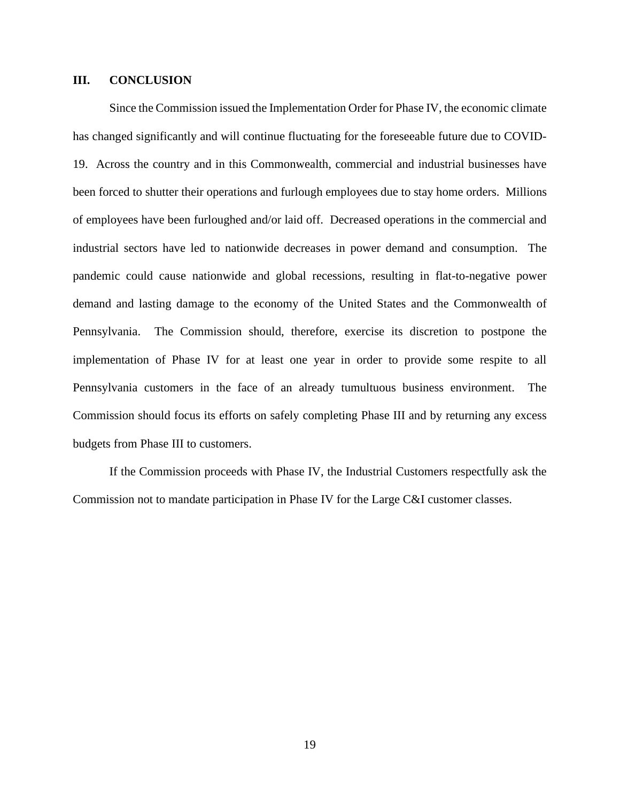#### **III. CONCLUSION**

Since the Commission issued the Implementation Order for Phase IV, the economic climate has changed significantly and will continue fluctuating for the foreseeable future due to COVID-19. Across the country and in this Commonwealth, commercial and industrial businesses have been forced to shutter their operations and furlough employees due to stay home orders. Millions of employees have been furloughed and/or laid off. Decreased operations in the commercial and industrial sectors have led to nationwide decreases in power demand and consumption. The pandemic could cause nationwide and global recessions, resulting in flat-to-negative power demand and lasting damage to the economy of the United States and the Commonwealth of Pennsylvania. The Commission should, therefore, exercise its discretion to postpone the implementation of Phase IV for at least one year in order to provide some respite to all Pennsylvania customers in the face of an already tumultuous business environment. The Commission should focus its efforts on safely completing Phase III and by returning any excess budgets from Phase III to customers.

If the Commission proceeds with Phase IV, the Industrial Customers respectfully ask the Commission not to mandate participation in Phase IV for the Large C&I customer classes.